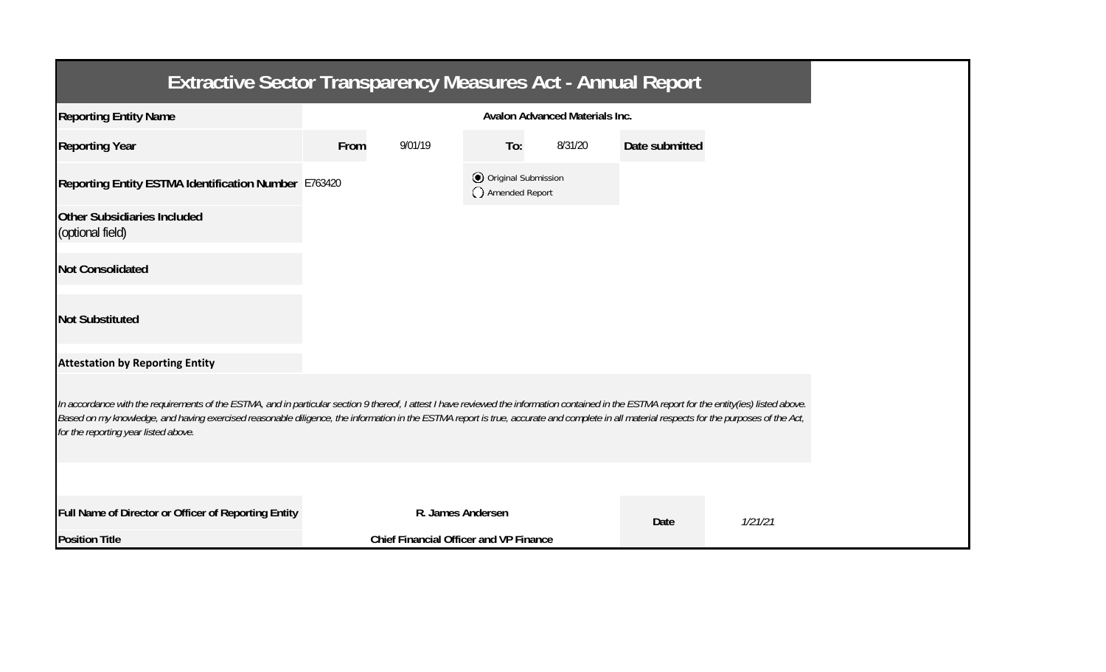| <b>Extractive Sector Transparency Measures Act - Annual Report</b>                                                                                                                                                                                                                                                                                                                                                                    |                                       |                                               |                                       |         |                |         |  |  |
|---------------------------------------------------------------------------------------------------------------------------------------------------------------------------------------------------------------------------------------------------------------------------------------------------------------------------------------------------------------------------------------------------------------------------------------|---------------------------------------|-----------------------------------------------|---------------------------------------|---------|----------------|---------|--|--|
| <b>Reporting Entity Name</b>                                                                                                                                                                                                                                                                                                                                                                                                          | <b>Avalon Advanced Materials Inc.</b> |                                               |                                       |         |                |         |  |  |
| <b>Reporting Year</b>                                                                                                                                                                                                                                                                                                                                                                                                                 | From                                  | 9/01/19                                       | To:                                   | 8/31/20 | Date submitted |         |  |  |
| Reporting Entity ESTMA Identification Number E763420                                                                                                                                                                                                                                                                                                                                                                                  |                                       |                                               | Original Submission<br>Amended Report |         |                |         |  |  |
| Other Subsidiaries Included<br>(optional field)                                                                                                                                                                                                                                                                                                                                                                                       |                                       |                                               |                                       |         |                |         |  |  |
| <b>Not Consolidated</b>                                                                                                                                                                                                                                                                                                                                                                                                               |                                       |                                               |                                       |         |                |         |  |  |
| <b>Not Substituted</b>                                                                                                                                                                                                                                                                                                                                                                                                                |                                       |                                               |                                       |         |                |         |  |  |
| <b>Attestation by Reporting Entity</b>                                                                                                                                                                                                                                                                                                                                                                                                |                                       |                                               |                                       |         |                |         |  |  |
| In accordance with the requirements of the ESTMA, and in particular section 9 thereof, I attest I have reviewed the information contained in the ESTMA report for the entity(ies) listed above.<br>Based on my knowledge, and having exercised reasonable diligence, the information in the ESTMA report is true, accurate and complete in all material respects for the purposes of the Act,<br>for the reporting year listed above. |                                       |                                               |                                       |         |                |         |  |  |
|                                                                                                                                                                                                                                                                                                                                                                                                                                       |                                       |                                               |                                       |         |                |         |  |  |
| Full Name of Director or Officer of Reporting Entity                                                                                                                                                                                                                                                                                                                                                                                  |                                       | R. James Andersen                             |                                       |         | Date           | 1/21/21 |  |  |
| <b>Position Title</b>                                                                                                                                                                                                                                                                                                                                                                                                                 |                                       | <b>Chief Financial Officer and VP Finance</b> |                                       |         |                |         |  |  |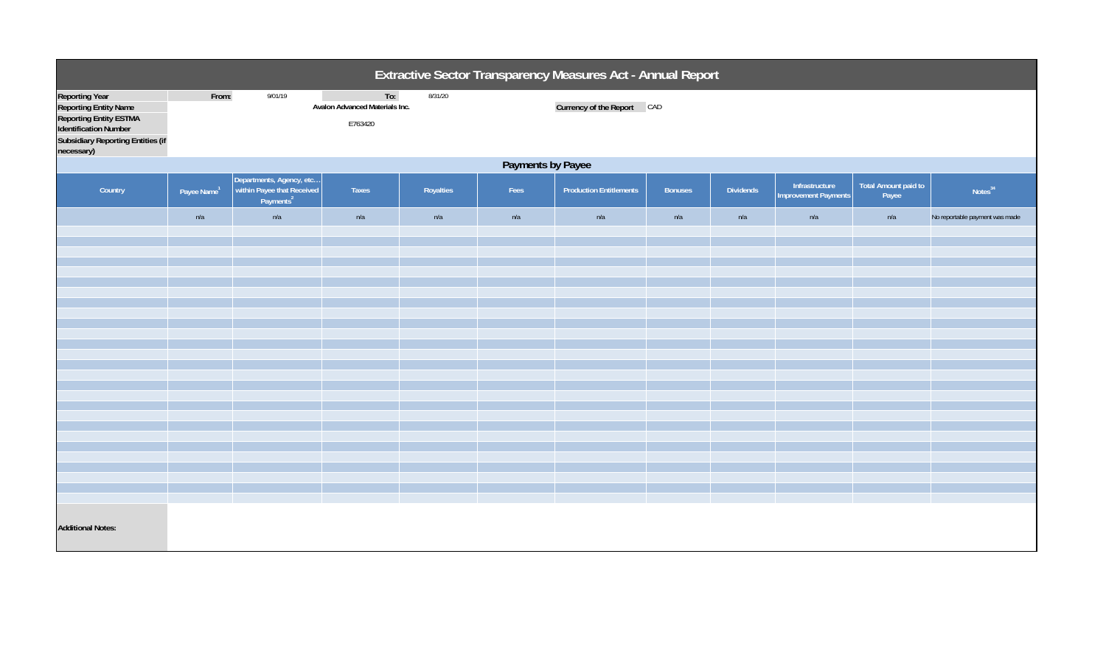| Extractive Sector Transparency Measures Act - Annual Report                                                                                                                      |                         |                                                                                 |                                                  |           |      |                                |         |                  |                                               |                               |                                |
|----------------------------------------------------------------------------------------------------------------------------------------------------------------------------------|-------------------------|---------------------------------------------------------------------------------|--------------------------------------------------|-----------|------|--------------------------------|---------|------------------|-----------------------------------------------|-------------------------------|--------------------------------|
| <b>Reporting Year</b><br><b>Reporting Entity Name</b><br><b>Reporting Entity ESTMA</b><br><b>Identification Number</b><br><b>Subsidiary Reporting Entities (if</b><br>necessary) | From:                   | 9/01/19                                                                         | To:<br>Avalon Advanced Materials Inc.<br>E763420 | 8/31/20   |      | Currency of the Report CAD     |         |                  |                                               |                               |                                |
| Payments by Payee                                                                                                                                                                |                         |                                                                                 |                                                  |           |      |                                |         |                  |                                               |                               |                                |
| Country                                                                                                                                                                          | Payee Name <sup>1</sup> | Departments, Agency, etc<br>within Payee that Received<br>Payments <sup>2</sup> | Taxes                                            | Royalties | Fees | <b>Production Entitlements</b> | Bonuses | <b>Dividends</b> | Infrastructure<br><b>Improvement Payments</b> | Total Amount paid to<br>Payee | Notes <sup>34</sup>            |
|                                                                                                                                                                                  | n/a                     | n/a                                                                             | n/a                                              | n/a       | n/a  | n/a                            | n/a     | n/a              | n/a                                           | n/a                           | No reportable payment was made |
|                                                                                                                                                                                  |                         |                                                                                 |                                                  |           |      |                                |         |                  |                                               |                               |                                |
|                                                                                                                                                                                  |                         |                                                                                 |                                                  |           |      |                                |         |                  |                                               |                               |                                |
|                                                                                                                                                                                  |                         |                                                                                 |                                                  |           |      |                                |         |                  |                                               |                               |                                |
|                                                                                                                                                                                  |                         |                                                                                 |                                                  |           |      |                                |         |                  |                                               |                               |                                |
|                                                                                                                                                                                  |                         |                                                                                 |                                                  |           |      |                                |         |                  |                                               |                               |                                |
|                                                                                                                                                                                  |                         |                                                                                 |                                                  |           |      |                                |         |                  |                                               |                               |                                |
|                                                                                                                                                                                  |                         |                                                                                 |                                                  |           |      |                                |         |                  |                                               |                               |                                |
|                                                                                                                                                                                  |                         |                                                                                 |                                                  |           |      |                                |         |                  |                                               |                               |                                |
|                                                                                                                                                                                  |                         |                                                                                 |                                                  |           |      |                                |         |                  |                                               |                               |                                |
|                                                                                                                                                                                  |                         |                                                                                 |                                                  |           |      |                                |         |                  |                                               |                               |                                |
|                                                                                                                                                                                  |                         |                                                                                 |                                                  |           |      |                                |         |                  |                                               |                               |                                |
|                                                                                                                                                                                  |                         |                                                                                 |                                                  |           |      |                                |         |                  |                                               |                               |                                |
|                                                                                                                                                                                  |                         |                                                                                 |                                                  |           |      |                                |         |                  |                                               |                               |                                |
|                                                                                                                                                                                  |                         |                                                                                 |                                                  |           |      |                                |         |                  |                                               |                               |                                |
|                                                                                                                                                                                  |                         |                                                                                 |                                                  |           |      |                                |         |                  |                                               |                               |                                |
|                                                                                                                                                                                  |                         |                                                                                 |                                                  |           |      |                                |         |                  |                                               |                               |                                |
| <b>Additional Notes:</b>                                                                                                                                                         |                         |                                                                                 |                                                  |           |      |                                |         |                  |                                               |                               |                                |